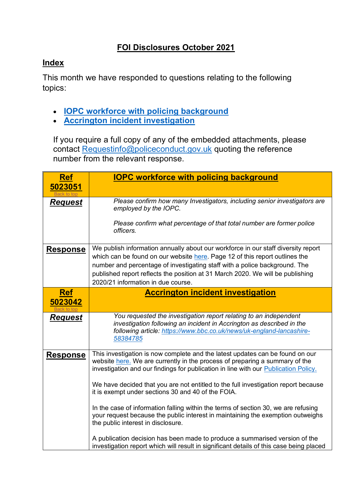## **FOI Disclosures October 2021**

## <span id="page-0-2"></span>**Index**

This month we have responded to questions relating to the following topics:

- **[IOPC workforce with policing background](#page-0-0)**
- **[Accrington incident investigation](#page-0-1)**

If you require a full copy of any of the embedded attachments, please contact [Requestinfo@policeconduct.gov.uk](mailto:Requestinfo@policeconduct.gov.uk) quoting the reference number from the relevant response.

<span id="page-0-1"></span><span id="page-0-0"></span>

| <b>Ref</b>      | <b>IOPC workforce with policing background</b>                                                                                                                                                                                                      |
|-----------------|-----------------------------------------------------------------------------------------------------------------------------------------------------------------------------------------------------------------------------------------------------|
| 5023051         |                                                                                                                                                                                                                                                     |
| <b>Request</b>  | Please confirm how many Investigators, including senior investigators are<br>employed by the IOPC.                                                                                                                                                  |
|                 | Please confirm what percentage of that total number are former police<br>officers.                                                                                                                                                                  |
| <b>Response</b> | We publish information annually about our workforce in our staff diversity report<br>which can be found on our website here. Page 12 of this report outlines the                                                                                    |
|                 | number and percentage of investigating staff with a police background. The<br>published report reflects the position at 31 March 2020. We will be publishing<br>2020/21 information in due course.                                                  |
| <b>Ref</b>      | <b>Accrington incident investigation</b>                                                                                                                                                                                                            |
| 5023042         |                                                                                                                                                                                                                                                     |
| <b>Request</b>  | You requested the investigation report relating to an independent<br>investigation following an incident in Accrington as described in the<br>following article: https://www.bbc.co.uk/news/uk-england-lancashire-<br>58384785                      |
| <b>Response</b> | This investigation is now complete and the latest updates can be found on our<br>website here. We are currently in the process of preparing a summary of the<br>investigation and our findings for publication in line with our Publication Policy. |
|                 | We have decided that you are not entitled to the full investigation report because<br>it is exempt under sections 30 and 40 of the FOIA.                                                                                                            |
|                 | In the case of information falling within the terms of section 30, we are refusing<br>your request because the public interest in maintaining the exemption outweighs<br>the public interest in disclosure.                                         |
|                 | A publication decision has been made to produce a summarised version of the<br>investigation report which will result in significant details of this case being placed                                                                              |